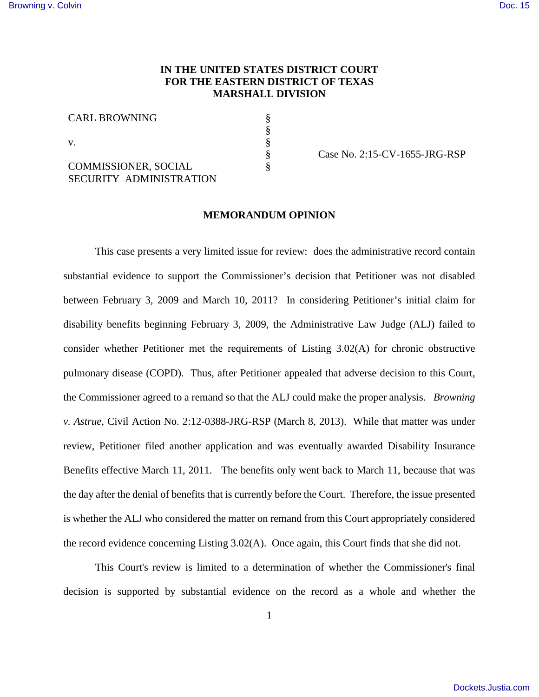## **IN THE UNITED STATES DISTRICT COURT FOR THE EASTERN DISTRICT OF TEXAS MARSHALL DIVISION**

§ § § § §

CARL BROWNING

v.

COMMISSIONER, SOCIAL SECURITY ADMINISTRATION Case No. 2:15-CV-1655-JRG-RSP

## **MEMORANDUM OPINION**

This case presents a very limited issue for review: does the administrative record contain substantial evidence to support the Commissioner's decision that Petitioner was not disabled between February 3, 2009 and March 10, 2011? In considering Petitioner's initial claim for disability benefits beginning February 3, 2009, the Administrative Law Judge (ALJ) failed to consider whether Petitioner met the requirements of Listing 3.02(A) for chronic obstructive pulmonary disease (COPD). Thus, after Petitioner appealed that adverse decision to this Court, the Commissioner agreed to a remand so that the ALJ could make the proper analysis. *Browning v. Astrue*, Civil Action No. 2:12-0388-JRG-RSP (March 8, 2013). While that matter was under review, Petitioner filed another application and was eventually awarded Disability Insurance Benefits effective March 11, 2011. The benefits only went back to March 11, because that was the day after the denial of benefits that is currently before the Court. Therefore, the issue presented is whether the ALJ who considered the matter on remand from this Court appropriately considered the record evidence concerning Listing 3.02(A). Once again, this Court finds that she did not.

This Court's review is limited to a determination of whether the Commissioner's final decision is supported by substantial evidence on the record as a whole and whether the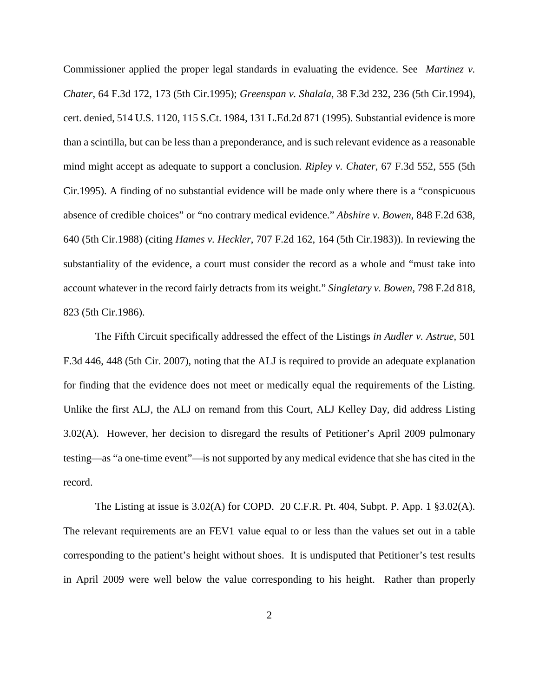Commissioner applied the proper legal standards in evaluating the evidence. See *Martinez v. Chater*, 64 F.3d 172, 173 (5th Cir.1995); *Greenspan v. Shalala*, 38 F.3d 232, 236 (5th Cir.1994), cert. denied, 514 U.S. 1120, 115 S.Ct. 1984, 131 L.Ed.2d 871 (1995). Substantial evidence is more than a scintilla, but can be less than a preponderance, and is such relevant evidence as a reasonable mind might accept as adequate to support a conclusion*. Ripley v. Chater*, 67 F.3d 552, 555 (5th Cir.1995). A finding of no substantial evidence will be made only where there is a "conspicuous absence of credible choices" or "no contrary medical evidence." *Abshire v. Bowen*, 848 F.2d 638, 640 (5th Cir.1988) (citing *Hames v. Heckler*, 707 F.2d 162, 164 (5th Cir.1983)). In reviewing the substantiality of the evidence, a court must consider the record as a whole and "must take into account whatever in the record fairly detracts from its weight." *Singletary v. Bowen,* 798 F.2d 818, 823 (5th Cir.1986).

The Fifth Circuit specifically addressed the effect of the Listings *in Audler v. Astrue*, 501 F.3d 446, 448 (5th Cir. 2007), noting that the ALJ is required to provide an adequate explanation for finding that the evidence does not meet or medically equal the requirements of the Listing. Unlike the first ALJ, the ALJ on remand from this Court, ALJ Kelley Day, did address Listing 3.02(A). However, her decision to disregard the results of Petitioner's April 2009 pulmonary testing—as "a one-time event"—is not supported by any medical evidence that she has cited in the record.

The Listing at issue is  $3.02(A)$  for COPD. 20 C.F.R. Pt. 404, Subpt. P. App. 1  $\S 3.02(A)$ . The relevant requirements are an FEV1 value equal to or less than the values set out in a table corresponding to the patient's height without shoes. It is undisputed that Petitioner's test results in April 2009 were well below the value corresponding to his height. Rather than properly